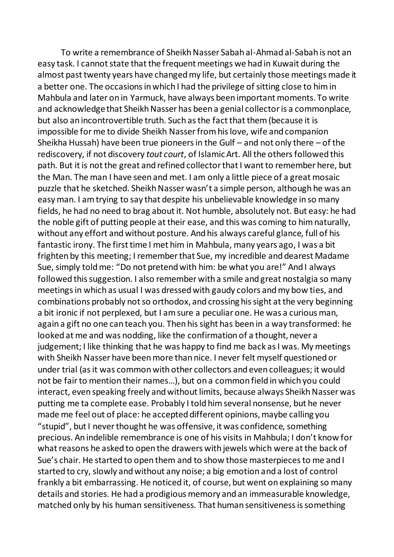To write a remembrance of Sheikh Nasser Sabah al-Ahmad al-Sabah is not an easy task. I cannot state that the frequent meetings we had in Kuwait during the almost past twenty years have changed my life, but certainly those meetings made it a better one. The occasions in which I had the privilege of sitting close to him in Mahbula and later on in Yarmuck, have always been important moments. To write and acknowledge that Sheikh Nasser has been a genial collector is a commonplace, but also an incontrovertible truth. Such as the fact that them (because it is impossible for me to divide Sheikh Nasser from his love, wife and companion Sheikha Hussah) have been true pioneers in the Gulf – and not only there – of the rediscovery, if not discovery *tout court*, of Islamic Art. All the others followed this path. But it is not the great and refined collector that I want to remember here, but the Man. The man I have seen and met. I am only a little piece of a great mosaic puzzle that he sketched. Sheikh Nasser wasn't a simple person, although he was an easy man. I am trying to say that despite his unbelievable knowledge in so many fields, he had no need to brag about it. Not humble, absolutely not. But easy: he had the noble gift of putting people at their ease, and this was coming to him naturally, without any effort and without posture. And his always careful glance, full of his fantastic irony. The first time I met him in Mahbula, many years ago, I was a bit frighten by this meeting; I remember that Sue, my incredible and dearest Madame Sue, simply told me: "Do not pretend with him: be what you are!" And I always followed this suggestion. I also remember with a smile and great nostalgia so many meetings in which as usual I was dressed with gaudy colors and my bow ties, and combinations probably not so orthodox, and crossing his sight at the very beginning a bit ironic if not perplexed, but I am sure a peculiar one. He was a curious man, again a gift no one can teach you. Then his sight has been in a way transformed: he looked at me and was nodding, like the confirmation of a thought, never a judgement; I like thinking that he was happy to find me back as I was. My meetings with Sheikh Nasser have been more than nice. I never felt myself questioned or under trial (as it was common with other collectors and even colleagues; it would not be fair to mention their names…), but on a common field in which you could interact, even speaking freely and without limits, because always Sheikh Nasser was putting me ta complete ease. Probably I told him several nonsense, but he never made me feel out of place: he accepted different opinions, maybe calling you "stupid", but I never thought he was offensive, it was confidence, something precious. An indelible remembrance is one of his visits in Mahbula; I don't know for what reasons he asked to open the drawers with jewels which were at the back of Sue's chair. He started to open them and to show those masterpieces to me and I started to cry, slowly and without any noise; a big emotion and a lost of control frankly a bit embarrassing. He noticed it, of course, but went on explaining so many details and stories. He had a prodigious memory and an immeasurable knowledge, matched only by his human sensitiveness. That human sensitiveness is something